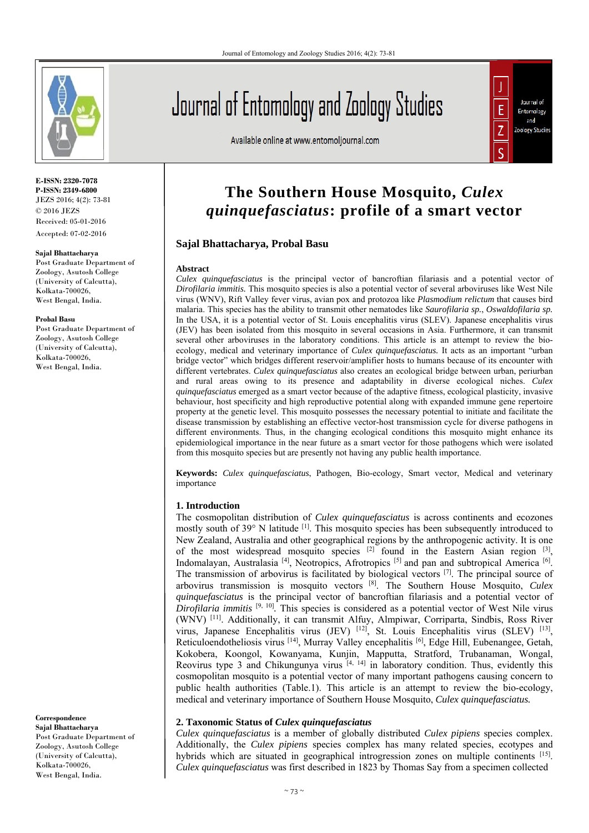

**E-ISSN: 2320-7078 P-ISSN: 2349-6800** JEZS 2016; 4(2): 73-81  $\odot$  2016 JEZS Received: 05-01-2016 Accepted: 07-02-2016

#### **Sajal Bhattacharya**

Post Graduate Department of Zoology, Asutosh College (University of Calcutta), Kolkata-700026, West Bengal, India.

#### **Probal Basu**

Post Graduate Department of Zoology, Asutosh College (University of Calcutta), Kolkata-700026, West Bengal, India.

**Correspondence Sajal Bhattacharya**  Post Graduate Department of Zoology, Asutosh College (University of Calcutta), Kolkata-700026, West Bengal, India.

# Journal of Entomology and Zoology Studies

Available online at www.entomoljournal.com



# **The Southern House Mosquito,** *Culex quinquefasciatus***: profile of a smart vector**

#### **Sajal Bhattacharya, Probal Basu**

#### **Abstract**

*Culex quinquefasciatus* is the principal vector of bancroftian filariasis and a potential vector of *Dirofilaria immitis.* This mosquito species is also a potential vector of several arboviruses like West Nile virus (WNV), Rift Valley fever virus, avian pox and protozoa like *Plasmodium relictum* that causes bird malaria. This species has the ability to transmit other nematodes like *Saurofilaria sp.*, *Oswaldofilaria sp.*  In the USA, it is a potential vector of St. Louis encephalitis virus (SLEV). Japanese encephalitis virus (JEV) has been isolated from this mosquito in several occasions in Asia. Furthermore, it can transmit several other arboviruses in the laboratory conditions. This article is an attempt to review the bioecology, medical and veterinary importance of *Culex quinquefasciatus.* It acts as an important "urban bridge vector" which bridges different reservoir/amplifier hosts to humans because of its encounter with different vertebrates. *Culex quinquefasciatus* also creates an ecological bridge between urban, periurban and rural areas owing to its presence and adaptability in diverse ecological niches. *Culex quinquefasciatus* emerged as a smart vector because of the adaptive fitness, ecological plasticity, invasive behaviour, host specificity and high reproductive potential along with expanded immune gene repertoire property at the genetic level. This mosquito possesses the necessary potential to initiate and facilitate the disease transmission by establishing an effective vector-host transmission cycle for diverse pathogens in different environments. Thus, in the changing ecological conditions this mosquito might enhance its epidemiological importance in the near future as a smart vector for those pathogens which were isolated from this mosquito species but are presently not having any public health importance.

**Keywords:** *Culex quinquefasciatus*, Pathogen, Bio-ecology, Smart vector, Medical and veterinary importance

#### **1. Introduction**

The cosmopolitan distribution of *Culex quinquefasciatus* is across continents and ecozones mostly south of 39° N latitude <sup>[1]</sup>. This mosquito species has been subsequently introduced to New Zealand, Australia and other geographical regions by the anthropogenic activity. It is one of the most widespread mosquito species <sup>[2]</sup> found in the Eastern Asian region <sup>[3]</sup>, Indomalayan, Australasia<sup>[4]</sup>, Neotropics, Afrotropics<sup>[5]</sup> and pan and subtropical America<sup>[6]</sup>. The transmission of arbovirus is facilitated by biological vectors [7]. The principal source of arbovirus transmission is mosquito vectors [8]. The Southern House Mosquito, *Culex quinquefasciatus* is the principal vector of bancroftian filariasis and a potential vector of *Dirofilaria immitis* <sup>[9, 10]</sup>. This species is considered as a potential vector of West Nile virus (WNV) [11]. Additionally, it can transmit Alfuy, Almpiwar, Corriparta, Sindbis, Ross River virus, Japanese Encephalitis virus (JEV) [12], St. Louis Encephalitis virus (SLEV) [13], Reticuloendotheliosis virus [14], Murray Valley encephalitis [6], Edge Hill, Eubenangee, Getah, Kokobera, Koongol, Kowanyama, Kunjin, Mapputta, Stratford, Trubanaman, Wongal, Reovirus type 3 and Chikungunya virus  $[4, 14]$  in laboratory condition. Thus, evidently this cosmopolitan mosquito is a potential vector of many important pathogens causing concern to public health authorities (Table.1). This article is an attempt to review the bio-ecology, medical and veterinary importance of Southern House Mosquito, *Culex quinquefasciatus.*

#### **2. Taxonomic Status of** *Culex quinquefasciatus*

*Culex quinquefasciatus* is a member of globally distributed *Culex pipiens* species complex. Additionally, the *Culex pipiens* species complex has many related species, ecotypes and hybrids which are situated in geographical introgression zones on multiple continents [15]. *Culex quinquefasciatus* was first described in 1823 by Thomas Say from a specimen collected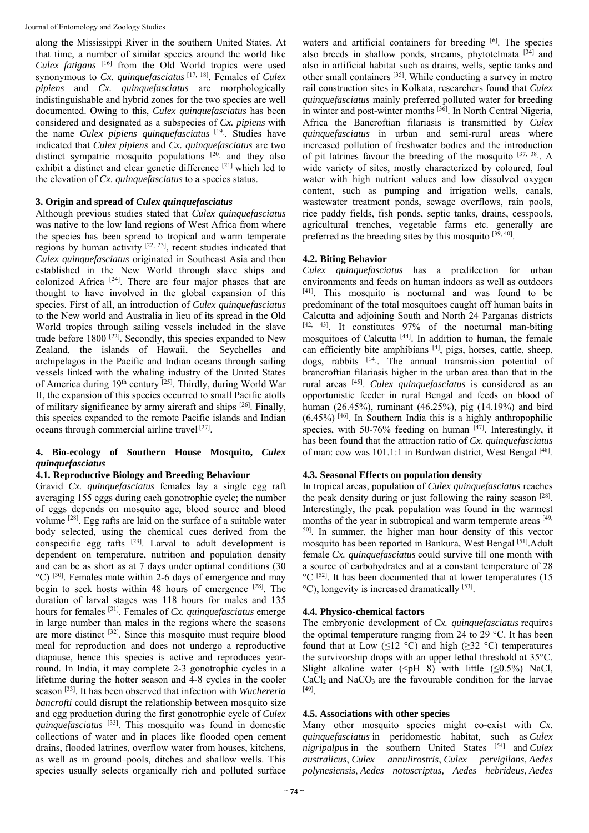along the Mississippi River in the southern United States. At that time, a number of similar species around the world like *Culex fatigans* [16] from the Old World tropics were used synonymous to *Cx. quinquefasciatus* [17, 18]. Females of *Culex pipiens* and *Cx. quinquefasciatus* are morphologically indistinguishable and hybrid zones for the two species are well documented. Owing to this, *Culex quinquefasciatus* has been considered and designated as a subspecies of *Cx. pipiens* with the name *Culex pipiens quinquefasciatus* [19]*.* Studies have indicated that *Culex pipiens* and *Cx. quinquefasciatus* are two distinct sympatric mosquito populations [20] and they also exhibit a distinct and clear genetic difference [21] which led to the elevation of *Cx. quinquefasciatus* to a species status.

# **3. Origin and spread of** *Culex quinquefasciatus*

Although previous studies stated that *Culex quinquefasciatus* was native to the low land regions of West Africa from where the species has been spread to tropical and warm temperate regions by human activity [22, 23], recent studies indicated that *Culex quinquefasciatus* originated in Southeast Asia and then established in the New World through slave ships and colonized Africa [24]. There are four major phases that are thought to have involved in the global expansion of this species. First of all, an introduction of *Culex quinquefasciatus* to the New world and Australia in lieu of its spread in the Old World tropics through sailing vessels included in the slave trade before  $1800$  <sup>[22]</sup>. Secondly, this species expanded to New Zealand, the islands of Hawaii, the Seychelles and archipelagos in the Pacific and Indian oceans through sailing vessels linked with the whaling industry of the United States of America during 19<sup>th</sup> century <sup>[25]</sup>. Thirdly, during World War II, the expansion of this species occurred to small Pacific atolls of military significance by army aircraft and ships  $[26]$ . Finally, this species expanded to the remote Pacific islands and Indian oceans through commercial airline travel [27].

# **4. Bio-ecology of Southern House Mosquito,** *Culex quinquefasciatus*

#### **4.1. Reproductive Biology and Breeding Behaviour**

Gravid *Cx. quinquefasciatus* females lay a single egg raft averaging 155 eggs during each gonotrophic cycle; the number of eggs depends on mosquito age, blood source and blood volume [28]. Egg rafts are laid on the surface of a suitable water body selected, using the chemical cues derived from the conspecific egg rafts [29]. Larval to adult development is dependent on temperature, nutrition and population density and can be as short as at 7 days under optimal conditions (30  $^{\circ}$ C) <sup>[30]</sup>. Females mate within 2-6 days of emergence and may begin to seek hosts within 48 hours of emergence [28]. The duration of larval stages was 118 hours for males and 135 hours for females [31]. Females of *Cx. quinquefasciatus* emerge in large number than males in the regions where the seasons are more distinct [32]. Since this mosquito must require blood meal for reproduction and does not undergo a reproductive diapause, hence this species is active and reproduces yearround. In India, it may complete 2-3 gonotrophic cycles in a lifetime during the hotter season and 4-8 cycles in the cooler season [33]. It has been observed that infection with *Wuchereria bancrofti* could disrupt the relationship between mosquito size and egg production during the first gonotrophic cycle of *Culex quinquefasciatus* [33]. This mosquito was found in domestic collections of water and in places like flooded open cement drains, flooded latrines, overflow water from houses, kitchens, as well as in ground–pools, ditches and shallow wells. This species usually selects organically rich and polluted surface

waters and artificial containers for breeding [6]. The species also breeds in shallow ponds, streams, phytotelmata  $[34]$  and also in artificial habitat such as drains, wells, septic tanks and other small containers [35]. While conducting a survey in metro rail construction sites in Kolkata, researchers found that *Culex quinquefasciatus* mainly preferred polluted water for breeding in winter and post-winter months [36]. In North Central Nigeria, Africa the Bancroftian filariasis is transmitted by *Culex quinquefasciatus* in urban and semi-rural areas where increased pollution of freshwater bodies and the introduction of pit latrines favour the breeding of the mosquito [37, 38]. A wide variety of sites, mostly characterized by coloured, foul water with high nutrient values and low dissolved oxygen content, such as pumping and irrigation wells, canals, wastewater treatment ponds, sewage overflows, rain pools, rice paddy fields, fish ponds, septic tanks, drains, cesspools, agricultural trenches, vegetable farms etc. generally are preferred as the breeding sites by this mosquito  $[39, 40]$ .

#### **4.2. Biting Behavior**

*Culex quinquefasciatus* has a predilection for urban environments and feeds on human indoors as well as outdoors [41]. This mosquito is nocturnal and was found to be predominant of the total mosquitoes caught off human baits in Calcutta and adjoining South and North 24 Parganas districts [42, 43]. It constitutes 97% of the nocturnal man-biting mosquitoes of Calcutta  $[44]$ . In addition to human, the female can efficiently bite amphibians [4], pigs, horses, cattle, sheep, dogs, rabbits [14]. The annual transmission potential of brancroftian filariasis higher in the urban area than that in the rural areas [45]. *Culex quinquefasciatus* is considered as an opportunistic feeder in rural Bengal and feeds on blood of human (26.45%), ruminant (46.25%), pig (14.19%) and bird  $(6.45\%)$ <sup>[46]</sup>. In Southern India this is a highly anthropophilic species, with 50-76% feeding on human  $[47]$ . Interestingly, it has been found that the attraction ratio of *Cx. quinquefasciatus* of man: cow was 101.1:1 in Burdwan district, West Bengal [48].

# **4.3. Seasonal Effects on population density**

In tropical areas, population of *Culex quinquefasciatus* reaches the peak density during or just following the rainy season [28]. Interestingly, the peak population was found in the warmest months of the year in subtropical and warm temperate areas [49, 50]. In summer, the higher man hour density of this vector mosquito has been reported in Bankura, West Bengal [51].Adult female *Cx. quinquefasciatus* could survive till one month with a source of carbohydrates and at a constant temperature of 28  $^{\circ}$ C <sup>[52]</sup>. It has been documented that at lower temperatures (15) °C), longevity is increased dramatically [53].

# **4.4. Physico-chemical factors**

The embryonic development of *Cx. quinquefasciatus* requires the optimal temperature ranging from 24 to 29 °C. It has been found that at Low ( $\leq$ 12 °C) and high ( $\geq$ 32 °C) temperatures the survivorship drops with an upper lethal threshold at 35°C. Slight alkaline water (<pH 8) with little  $(\leq 0.5\%)$  NaCl,  $CaCl<sub>2</sub>$  and NaCO<sub>3</sub> are the favourable condition for the larvae [49].

# **4.5. Associations with other species**

Many other mosquito species might co-exist with *Cx. quinquefasciatus* in peridomestic habitat, such as *Culex nigripalpus* in the southern United States [54] and *Culex australicus*, *Culex annulirostris*, *Culex pervigilans*, *Aedes polynesiensis*, *Aedes notoscriptus, Aedes hebrideus*, *Aedes*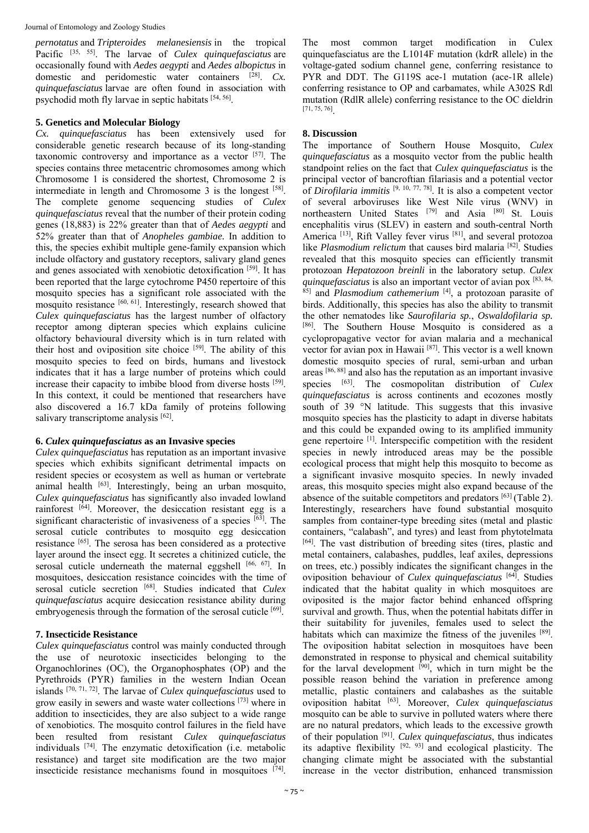*pernotatus* and *Tripteroides melanesiensis* in the tropical Pacific [35, 55]. The larvae of *Culex quinquefasciatus* are occasionally found with *Aedes aegypti* and *Aedes albopictus* in domestic and peridomestic water containers [28]. *Cx. quinquefasciatus* larvae are often found in association with psychodid moth fly larvae in septic habitats [54, 56].

#### **5. Genetics and Molecular Biology**

*Cx. quinquefasciatus* has been extensively used for considerable genetic research because of its long-standing taxonomic controversy and importance as a vector [57]. The species contains three metacentric chromosomes among which Chromosome 1 is considered the shortest, Chromosome 2 is intermediate in length and Chromosome 3 is the longest [58]. The complete genome sequencing studies of *Culex quinquefasciatus* reveal that the number of their protein coding genes (18,883) is 22% greater than that of *Aedes aegypti* and 52% greater than that of *Anopheles gambiae.* In addition to this, the species exhibit multiple gene-family expansion which include olfactory and gustatory receptors, salivary gland genes and genes associated with xenobiotic detoxification [59]. It has been reported that the large cytochrome P450 repertoire of this mosquito species has a significant role associated with the mosquito resistance [60, 61]. Interestingly, research showed that *Culex quinquefasciatus* has the largest number of olfactory receptor among dipteran species which explains culicine olfactory behavioural diversity which is in turn related with their host and oviposition site choice  $[59]$ . The ability of this mosquito species to feed on birds, humans and livestock indicates that it has a large number of proteins which could increase their capacity to imbibe blood from diverse hosts [59]. In this context, it could be mentioned that researchers have also discovered a 16.7 kDa family of proteins following salivary transcriptome analysis [62].

# **6.** *Culex quinquefasciatus* **as an Invasive species**

*Culex quinquefasciatus* has reputation as an important invasive species which exhibits significant detrimental impacts on resident species or ecosystem as well as human or vertebrate animal health [63]. Interestingly, being an urban mosquito, *Culex quinquefasciatus* has significantly also invaded lowland rainforest  $[64]$ . Moreover, the desiccation resistant egg is a significant characteristic of invasiveness of a species  $[63]$ . The serosal cuticle contributes to mosquito egg desiccation resistance [65]. The serosa has been considered as a protective layer around the insect egg. It secretes a chitinized cuticle, the serosal cuticle underneath the maternal eggshell [66, 67]. In mosquitoes, desiccation resistance coincides with the time of serosal cuticle secretion [68]. Studies indicated that *Culex quinquefasciatus* acquire desiccation resistance ability during embryogenesis through the formation of the serosal cuticle [69].

# **7. Insecticide Resistance**

*Culex quinquefasciatus* control was mainly conducted through the use of neurotoxic insecticides belonging to the Organochlorines (OC), the Organophosphates (OP) and the Pyrethroids (PYR) families in the western Indian Ocean islands [70, 71, 72]. The larvae of *Culex quinquefasciatus* used to grow easily in sewers and waste water collections [73] where in addition to insecticides, they are also subject to a wide range of xenobiotics. The mosquito control failures in the field have been resulted from resistant *Culex quinquefasciatus* individuals [74]. The enzymatic detoxification (i.e. metabolic resistance) and target site modification are the two major insecticide resistance mechanisms found in mosquitoes [74].

The most common target modification in Culex quinquefasciatus are the L1014F mutation (kdrR allele) in the voltage-gated sodium channel gene, conferring resistance to PYR and DDT. The G119S ace-1 mutation (ace-1R allele) conferring resistance to OP and carbamates, while A302S Rdl mutation (RdlR allele) conferring resistance to the OC dieldrin [71, 75, 76].

#### **8. Discussion**

The importance of Southern House Mosquito, *Culex quinquefasciatus* as a mosquito vector from the public health standpoint relies on the fact that *Culex quinquefasciatus* is the principal vector of bancroftian filariasis and a potential vector of *Dirofilaria immitis* [9, 10, 77, 78]. It is also a competent vector of several arboviruses like West Nile virus (WNV) in northeastern United States [79] and Asia [80] St. Louis encephalitis virus (SLEV) in eastern and south-central North America <sup>[13]</sup>, Rift Valley fever virus <sup>[81]</sup>, and several protozoa like *Plasmodium relictum* that causes bird malaria [82]. Studies revealed that this mosquito species can efficiently transmit protozoan *Hepatozoon breinli* in the laboratory setup. *Culex quinquefasciatus* is also an important vector of avian pox [83, 84, 85] and *Plasmodium cathemerium* [4], a protozoan parasite of birds. Additionally, this species has also the ability to transmit the other nematodes like *Saurofilaria sp.*, *Oswaldofilaria sp.*  [86]. The Southern House Mosquito is considered as a cyclopropagative vector for avian malaria and a mechanical vector for avian pox in Hawaii [87]. This vector is a well known domestic mosquito species of rural, semi-urban and urban areas [86, 88] and also has the reputation as an important invasive species [63]. The cosmopolitan distribution of *Culex quinquefasciatus* is across continents and ecozones mostly south of 39 °N latitude. This suggests that this invasive mosquito species has the plasticity to adapt in diverse habitats and this could be expanded owing to its amplified immunity gene repertoire [1]. Interspecific competition with the resident species in newly introduced areas may be the possible ecological process that might help this mosquito to become as a significant invasive mosquito species. In newly invaded areas, this mosquito species might also expand because of the absence of the suitable competitors and predators [63] (Table 2). Interestingly, researchers have found substantial mosquito samples from container-type breeding sites (metal and plastic containers, "calabash", and tyres) and least from phytotelmata [64]. The vast distribution of breeding sites (tires, plastic and metal containers, calabashes, puddles, leaf axiles, depressions on trees, etc.) possibly indicates the significant changes in the oviposition behaviour of *Culex quinquefasciatus* [64]. Studies indicated that the habitat quality in which mosquitoes are oviposited is the major factor behind enhanced offspring survival and growth. Thus, when the potential habitats differ in their suitability for juveniles, females used to select the habitats which can maximize the fitness of the juveniles [89]. The oviposition habitat selection in mosquitoes have been demonstrated in response to physical and chemical suitability for the larval development  $\left[\begin{array}{cc} 90\\1 \end{array}\right]$ , which in turn might be the possible reason behind the variation in preference among metallic, plastic containers and calabashes as the suitable oviposition habitat [63]. Moreover, *Culex quinquefasciatus* mosquito can be able to survive in polluted waters where there are no natural predators, which leads to the excessive growth of their population [91]. *Culex quinquefasciatus*, thus indicates its adaptive flexibility  $[92, 93]$  and ecological plasticity. The changing climate might be associated with the substantial increase in the vector distribution, enhanced transmission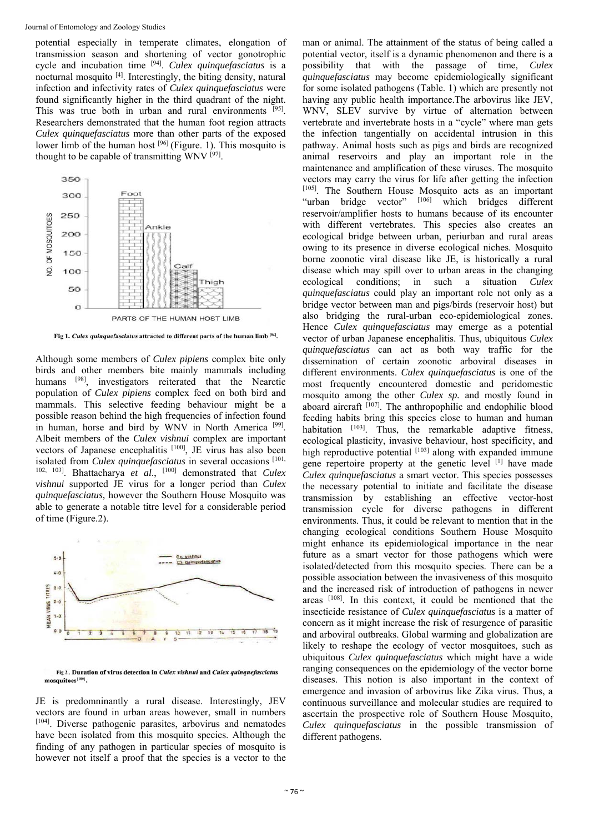potential especially in temperate climates, elongation of transmission season and shortening of vector gonotrophic cycle and incubation time [94]. *Culex quinquefasciatus* is a nocturnal mosquito [4]. Interestingly, the biting density, natural infection and infectivity rates of *Culex quinquefasciatus* were found significantly higher in the third quadrant of the night. This was true both in urban and rural environments [95]. Researchers demonstrated that the human foot region attracts *Culex quinquefasciatus* more than other parts of the exposed lower limb of the human host <sup>[96]</sup> (Figure. 1). This mosquito is thought to be capable of transmitting WNV [97].



Fig 1. Culex quinquefasciatus attracted to different parts of the human limb [96].

Although some members of *Culex pipiens* complex bite only birds and other members bite mainly mammals including humans [98], investigators reiterated that the Nearctic population of *Culex pipiens* complex feed on both bird and mammals. This selective feeding behaviour might be a possible reason behind the high frequencies of infection found in human, horse and bird by WNV in North America<sup>[99]</sup>. Albeit members of the *Culex vishnui* complex are important vectors of Japanese encephalitis [100], JE virus has also been isolated from *Culex quinquefasciatus* in several occasions [101, 102, 103]. Bhattacharya *et al*., [100] demonstrated that *Culex vishnui* supported JE virus for a longer period than *Culex quinquefasciatus*, however the Southern House Mosquito was able to generate a notable titre level for a considerable period of time (Figure.2).



Fig 2. Duration of virus detection in Culex vishnui and Culex quinquefasciatus

JE is predomninantly a rural disease. Interestingly, JEV vectors are found in urban areas however, small in numbers [104]. Diverse pathogenic parasites, arbovirus and nematodes have been isolated from this mosquito species. Although the finding of any pathogen in particular species of mosquito is however not itself a proof that the species is a vector to the

man or animal. The attainment of the status of being called a potential vector, itself is a dynamic phenomenon and there is a possibility that with the passage of time, *Culex quinquefasciatus* may become epidemiologically significant for some isolated pathogens (Table. 1) which are presently not having any public health importance.The arbovirus like JEV, WNV, SLEV survive by virtue of alternation between vertebrate and invertebrate hosts in a "cycle" where man gets the infection tangentially on accidental intrusion in this pathway. Animal hosts such as pigs and birds are recognized animal reservoirs and play an important role in the maintenance and amplification of these viruses. The mosquito vectors may carry the virus for life after getting the infection [105]. The Southern House Mosquito acts as an important "urban bridge vector" [106] which bridges different reservoir/amplifier hosts to humans because of its encounter with different vertebrates. This species also creates an ecological bridge between urban, periurban and rural areas owing to its presence in diverse ecological niches. Mosquito borne zoonotic viral disease like JE, is historically a rural disease which may spill over to urban areas in the changing ecological conditions; in such a situation *Culex quinquefasciatus* could play an important role not only as a bridge vector between man and pigs/birds (reservoir host) but also bridging the rural-urban eco-epidemiological zones. Hence *Culex quinquefasciatus* may emerge as a potential vector of urban Japanese encephalitis. Thus, ubiquitous *Culex quinquefasciatus* can act as both way traffic for the dissemination of certain zoonotic arboviral diseases in different environments. *Culex quinquefasciatus* is one of the most frequently encountered domestic and peridomestic mosquito among the other *Culex sp.* and mostly found in aboard aircraft  $^{[107]}$ . The anthropophilic and endophilic blood feeding habits bring this species close to human and human habitation [103]. Thus, the remarkable adaptive fitness, ecological plasticity, invasive behaviour, host specificity, and high reproductive potential  $[103]$  along with expanded immune gene repertoire property at the genetic level <sup>[1]</sup> have made *Culex quinquefasciatus* a smart vector. This species possesses the necessary potential to initiate and facilitate the disease transmission by establishing an effective vector-host transmission cycle for diverse pathogens in different environments. Thus, it could be relevant to mention that in the changing ecological conditions Southern House Mosquito might enhance its epidemiological importance in the near future as a smart vector for those pathogens which were isolated/detected from this mosquito species. There can be a possible association between the invasiveness of this mosquito and the increased risk of introduction of pathogens in newer areas [108]. In this context, it could be mentioned that the insecticide resistance of *Culex quinquefasciatus* is a matter of concern as it might increase the risk of resurgence of parasitic and arboviral outbreaks. Global warming and globalization are likely to reshape the ecology of vector mosquitoes, such as ubiquitous *Culex quinquefasciatus* which might have a wide ranging consequences on the epidemiology of the vector borne diseases. This notion is also important in the context of emergence and invasion of arbovirus like Zika virus. Thus, a continuous surveillance and molecular studies are required to ascertain the prospective role of Southern House Mosquito, *Culex quinquefasciatus* in the possible transmission of different pathogens.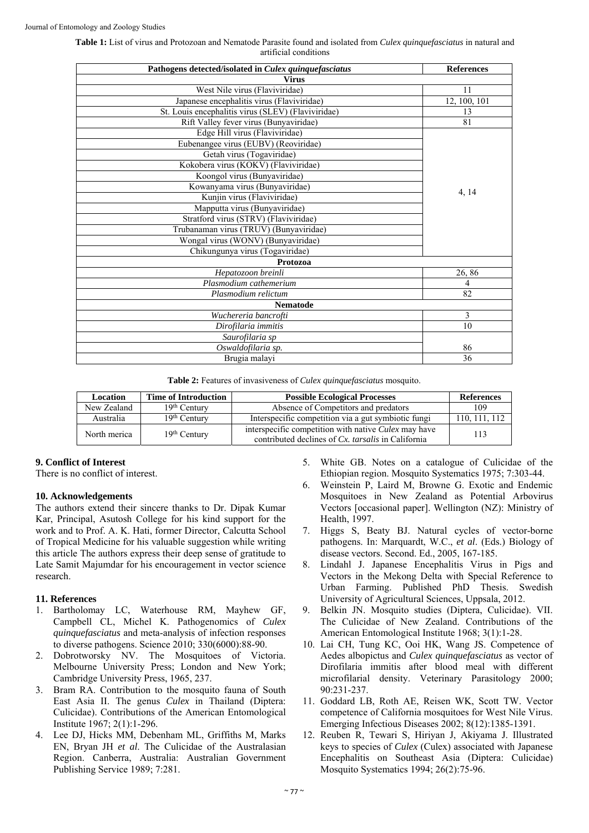| Table 1: List of virus and Protozoan and Nematode Parasite found and isolated from <i>Culex quinquefasciatus</i> in natural and |
|---------------------------------------------------------------------------------------------------------------------------------|
| artificial conditions                                                                                                           |

| Pathogens detected/isolated in Culex quinquefasciatus | <b>References</b> |
|-------------------------------------------------------|-------------------|
| <b>Virus</b>                                          |                   |
| West Nile virus (Flaviviridae)                        | 11                |
| Japanese encephalitis virus (Flaviviridae)            | 12, 100, 101      |
| St. Louis encephalitis virus (SLEV) (Flaviviridae)    | 13                |
| Rift Valley fever virus (Bunyaviridae)                | 81                |
| Edge Hill virus (Flaviviridae)                        |                   |
| Eubenangee virus (EUBV) (Reoviridae)                  |                   |
| Getah virus (Togaviridae)                             |                   |
| Kokobera virus (KOKV) (Flaviviridae)                  |                   |
| Koongol virus (Bunyaviridae)                          |                   |
| Kowanyama virus (Bunyaviridae)                        |                   |
| Kunjin virus (Flaviviridae)                           | 4, 14             |
| Mapputta virus (Bunyaviridae)                         |                   |
| Stratford virus (STRV) (Flaviviridae)                 |                   |
| Trubanaman virus (TRUV) (Bunyaviridae)                |                   |
| Wongal virus (WONV) (Bunyaviridae)                    |                   |
| Chikungunya virus (Togaviridae)                       |                   |
| Protozoa                                              |                   |
| Hepatozoon breinli                                    | 26,86             |
| Plasmodium cathemerium                                | 4                 |
| Plasmodium relictum                                   | 82                |
| <b>Nematode</b>                                       |                   |
| Wuchereria bancrofti                                  | 3                 |
| Dirofilaria immitis                                   | 10                |
| Saurofilaria sp                                       |                   |
| Oswaldofilaria sp.                                    | 86                |
| Brugia malayi                                         | 36                |
|                                                       |                   |

**Table 2:** Features of invasiveness of *Culex quinquefasciatus* mosquito.

| Location     | <b>Time of Introduction</b> | <b>Possible Ecological Processes</b>                                                                              | <b>References</b> |
|--------------|-----------------------------|-------------------------------------------------------------------------------------------------------------------|-------------------|
| New Zealand  | $19th$ Century              | Absence of Competitors and predators                                                                              | 109               |
| Australia    | $19th$ Century              | Interspecific competition via a gut symbiotic fungi                                                               | 110, 111, 112     |
| North merica | $19th$ Century              | interspecific competition with native <i>Culex</i> may have<br>contributed declines of Cx. tarsalis in California | 113               |

# **9. Conflict of Interest**

There is no conflict of interest.

# **10. Acknowledgements**

The authors extend their sincere thanks to Dr. Dipak Kumar Kar, Principal, Asutosh College for his kind support for the work and to Prof. A. K. Hati, former Director, Calcutta School of Tropical Medicine for his valuable suggestion while writing this article The authors express their deep sense of gratitude to Late Samit Majumdar for his encouragement in vector science research.

# **11. References**

- 1. Bartholomay LC, Waterhouse RM, Mayhew GF, Campbell CL, Michel K. Pathogenomics of *Culex quinquefasciatus* and meta-analysis of infection responses to diverse pathogens. Science 2010; 330(6000):88-90.
- 2. Dobrotworsky NV. The Mosquitoes of Victoria. Melbourne University Press; London and New York; Cambridge University Press, 1965, 237.
- 3. Bram RA. Contribution to the mosquito fauna of South East Asia II. The genus *Culex* in Thailand (Diptera: Culicidae). Contributions of the American Entomological Institute 1967; 2(1):1-296.
- 4. Lee DJ, Hicks MM, Debenham ML, Griffiths M, Marks EN, Bryan JH *et al*. The Culicidae of the Australasian Region. Canberra, Australia: Australian Government Publishing Service 1989; 7:281.
- 5. White GB. Notes on a catalogue of Culicidae of the Ethiopian region. Mosquito Systematics 1975; 7:303-44.
- 6. Weinstein P, Laird M, Browne G. Exotic and Endemic Mosquitoes in New Zealand as Potential Arbovirus Vectors [occasional paper]. Wellington (NZ): Ministry of Health, 1997.
- 7. Higgs S, Beaty BJ. Natural cycles of vector-borne pathogens. In: Marquardt, W.C., *et al*. (Eds.) Biology of disease vectors. Second. Ed., 2005, 167-185.
- 8. Lindahl J. Japanese Encephalitis Virus in Pigs and Vectors in the Mekong Delta with Special Reference to Urban Farming. Published PhD Thesis. Swedish University of Agricultural Sciences, Uppsala, 2012.
- 9. Belkin JN. Mosquito studies (Diptera, Culicidae). VII. The Culicidae of New Zealand. Contributions of the American Entomological Institute 1968; 3(1):1-28.
- 10. Lai CH, Tung KC, Ooi HK, Wang JS. Competence of Aedes albopictus and *Culex quinquefasciatus* as vector of Dirofilaria immitis after blood meal with different microfilarial density. Veterinary Parasitology 2000; 90:231-237.
- 11. Goddard LB, Roth AE, Reisen WK, Scott TW. Vector competence of California mosquitoes for West Nile Virus. Emerging Infectious Diseases 2002; 8(12):1385-1391.
- 12. Reuben R, Tewari S, Hiriyan J, Akiyama J. Illustrated keys to species of *Culex* (Culex) associated with Japanese Encephalitis on Southeast Asia (Diptera: Culicidae) Mosquito Systematics 1994; 26(2):75-96.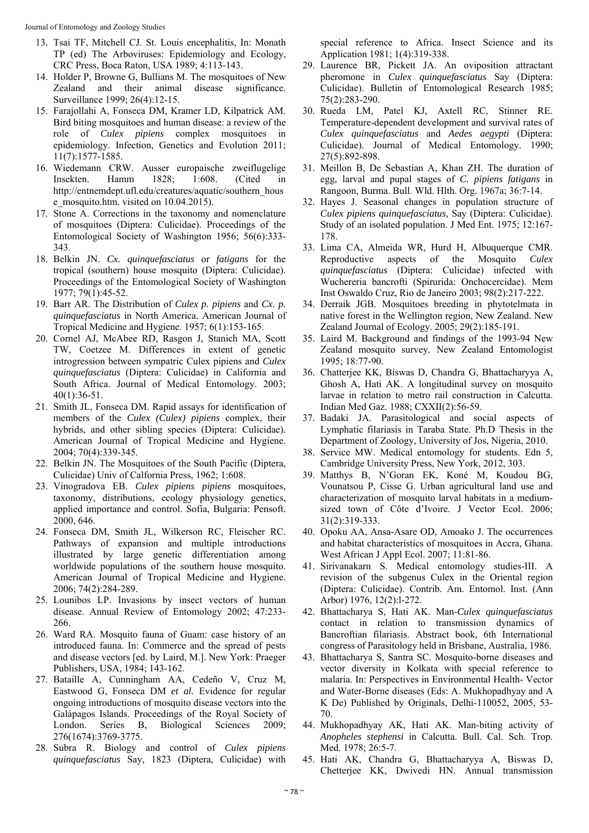Journal of Entomology and Zoology Studies

- 13. Tsai TF, Mitchell CJ. St. Louis encephalitis, In: Monath TP (ed) The Arboviruses: Epidemiology and Ecology, CRC Press, Boca Raton, USA 1989; 4:113-143.
- 14. Holder P, Browne G, Bullians M. The mosquitoes of New Zealand and their animal disease significance. Surveillance 1999; 26(4):12-15.
- 15. Farajollahi A, Fonseca DM, Kramer LD, Kilpatrick AM. Bird biting mosquitoes and human disease: a review of the role of *Culex pipiens* complex mosquitoes in epidemiology. Infection, Genetics and Evolution 2011; 11(7):1577-1585.
- 16. Wiedemann CRW. Ausser europaische zweiflugelige Insekten. Hamm 1828; 1:608. (Cited in http://entnemdept.ufl.edu/creatures/aquatic/southern\_hous e\_mosquito.htm. visited on 10.04.2015).
- 17. Stone A. Corrections in the taxonomy and nomenclature of mosquitoes (Diptera: Culicidae). Proceedings of the Entomological Society of Washington 1956; 56(6):333- 343.
- 18. Belkin JN. *Cx. quinquefasciatus* or *fatigans* for the tropical (southern) house mosquito (Diptera: Culicidae). Proceedings of the Entomological Society of Washington 1977; 79(1):45-52.
- 19. Barr AR. The Distribution of *Culex p. pipiens* and *Cx. p. quinquefasciatus* in North America. American Journal of Tropical Medicine and Hygiene. 1957; 6(1):153-165.
- 20. Cornel AJ, McAbee RD, Rasgon J, Stanich MA, Scott TW, Coetzee M. Differences in extent of genetic introgression between sympatric Culex pipiens and *Culex quinquefasciatus* (Diptera: Culicidae) in California and South Africa. Journal of Medical Entomology. 2003; 40(1):36-51.
- 21. Smith JL, Fonseca DM. Rapid assays for identification of members of the *Culex (Culex) pipiens* complex, their hybrids, and other sibling species (Diptera: Culicidae). American Journal of Tropical Medicine and Hygiene. 2004; 70(4):339-345.
- 22. Belkin JN. The Mosquitoes of the South Pacific (Diptera, Culicidae) Univ of Calfornia Press, 1962; 1:608.
- 23. Vinogradova EB. *Culex pipiens pipiens* mosquitoes, taxonomy, distributions, ecology physiology genetics, applied importance and control. Sofia, Bulgaria: Pensoft. 2000, 646.
- 24. Fonseca DM, Smith JL, Wilkerson RC, Fleischer RC. Pathways of expansion and multiple introductions illustrated by large genetic differentiation among worldwide populations of the southern house mosquito. American Journal of Tropical Medicine and Hygiene. 2006; 74(2):284-289.
- 25. Lounibos LP. Invasions by insect vectors of human disease. Annual Review of Entomology 2002; 47:233- 266.
- 26. Ward RA. Mosquito fauna of Guam: case history of an introduced fauna. In: Commerce and the spread of pests and disease vectors [ed. by Laird, M.]. New York: Praeger Publishers, USA, 1984; 143-162.
- 27. Bataille A, Cunningham AA, Cedeño V, Cruz M, Eastwood G, Fonseca DM *et al.* Evidence for regular ongoing introductions of mosquito disease vectors into the Galápagos Islands. Proceedings of the Royal Society of London. Series B, Biological Sciences 2009; 276(1674):3769-3775.
- 28. Subra R. Biology and control of *Culex pipiens quinquefasciatus* Say, 1823 (Diptera, Culicidae) with

special reference to Africa. Insect Science and its Application 1981; 1(4):319-338.

- 29. Laurence BR, Pickett JA. An oviposition attractant pheromone in *Culex quinquefasciatus* Say (Diptera: Culicidae). Bulletin of Entomological Research 1985; 75(2):283-290.
- 30. Rueda LM, Patel KJ, Axtell RC, Stinner RE. Temperature-dependent development and survival rates of *Culex quinquefasciatus* and *Aedes aegypti* (Diptera: Culicidae). Journal of Medical Entomology. 1990; 27(5):892-898.
- 31. Meillon B, De Sebastian A, Khan ZH. The duration of egg, larval and pupal stages of *C. pipiens fatigans* in Rangoon, Burma. Bull. Wld. Hlth. Org. 1967a; 36:7-14.
- 32. Hayes J. Seasonal changes in population structure of *Culex pipiens quinquefasciatus,* Say (Diptera: Culicidae). Study of an isolated population. J Med Ent. 1975; 12:167- 178.
- 33. Lima CA, Almeida WR, Hurd H, Albuquerque CMR. Reproductive aspects of the Mosquito *Culex quinquefasciatus* (Diptera: Culicidae) infected with Wuchereria bancrofti (Spirurida: Onchocercidae). Mem Inst Oswaldo Cruz, Rio de Janeiro 2003; 98(2):217-222.
- 34. Derraik JGB. Mosquitoes breeding in phytotelmata in native forest in the Wellington region, New Zealand. New Zealand Journal of Ecology. 2005; 29(2):185-191.
- 35. Laird M. Background and findings of the 1993-94 New Zealand mosquito survey. New Zealand Entomologist 1995; 18:77-90.
- 36. Chatterjee KK, Biswas D, Chandra G, Bhattacharyya A, Ghosh A, Hati AK. A longitudinal survey on mosquito larvae in relation to metro rail construction in Calcutta. Indian Med Gaz. 1988; CXXII(2):56-59.
- 37. Badaki JA. Parasitological and social aspects of Lymphatic filariasis in Taraba State. Ph.D Thesis in the Department of Zoology, University of Jos, Nigeria, 2010.
- 38. Service MW. Medical entomology for students. Edn 5, Cambridge University Press, New York, 2012, 303.
- 39. Matthys B, N'Goran EK, Koné M, Koudou BG, Vounatsou P, Cisse G. Urban agricultural land use and characterization of mosquito larval habitats in a mediumsized town of Côte d'Ivoire. J Vector Ecol. 2006; 31(2):319-333.
- 40. Opoku AA, Ansa-Asare OD, Amoako J. The occurrences and habitat characteristics of mosquitoes in Accra, Ghana. West African J Appl Ecol. 2007; 11:81-86.
- 41. Sirivanakarn S. Medical entomology studies-III. A revision of the subgenus Culex in the Oriental region (Diptera: Culicidae). Contrib. Am. Entomol. Inst. (Ann Arbor) 1976, 12(2):l-272.
- 42. Bhattacharya S, Hati AK. Man-*Culex quinquefasciatus* contact in relation to transmission dynamics of Bancroftian filariasis. Abstract book, 6th International congress of Parasitology held in Brisbane, Australia, 1986.
- 43. Bhattacharya S, Santra SC. Mosquito-borne diseases and vector diversity in Kolkata with special reference to malaria. In: Perspectives in Environmental Health- Vector and Water-Borne diseases (Eds: A. Mukhopadhyay and A K De) Published by Originals, Delhi-110052, 2005, 53- 70.
- 44. Mukhopadhyay AK, Hati AK. Man-biting activity of *Anopheles stephensi* in Calcutta. Bull. Cal. Sch. Trop. Med. 1978; 26:5-7.
- 45. Hati AK, Chandra G, Bhattacharyya A, Biswas D, Chetterjee KK, Dwivedi HN. Annual transmission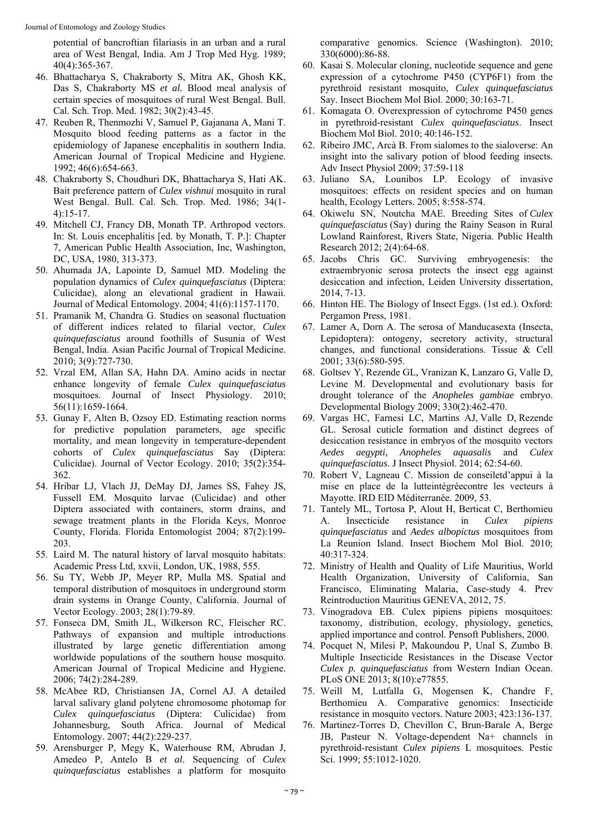potential of bancroftian filariasis in an urban and a rural area of West Bengal, India. Am J Trop Med Hyg. 1989; 40(4):365-367.

- 46. Bhattacharya S, Chakraborty S, Mitra AK, Ghosh KK, Das S, Chakraborty MS *et al.* Blood meal analysis of certain species of mosquitoes of rural West Bengal. Bull. Cal. Sch. Trop. Med. 1982; 30(2):43-45.
- 47. Reuben R, Thenmozhi V, Samuel P, Gajanana A, Mani T. Mosquito blood feeding patterns as a factor in the epidemiology of Japanese encephalitis in southern India. American Journal of Tropical Medicine and Hygiene. 1992; 46(6):654-663.
- 48. Chakraborty S, Choudhuri DK, Bhattacharya S, Hati AK. Bait preference pattern of *Culex vishnui* mosquito in rural West Bengal. Bull. Cal. Sch. Trop. Med. 1986; 34(1- 4):15-17.
- 49. Mitchell CJ, Francy DB, Monath TP. Arthropod vectors. In: St. Louis encephalitis [ed. by Monath, T. P.]: Chapter 7, American Public Health Association, Inc, Washington, DC, USA, 1980, 313-373.
- 50. Ahumada JA, Lapointe D, Samuel MD. Modeling the population dynamics of *Culex quinquefasciatus* (Diptera: Culicidae), along an elevational gradient in Hawaii. Journal of Medical Entomology. 2004; 41(6):1157-1170.
- 51. Pramanik M, Chandra G. Studies on seasonal fluctuation of different indices related to filarial vector, *Culex quinquefasciatus* around foothills of Susunia of West Bengal, India. Asian Pacific Journal of Tropical Medicine. 2010; 3(9):727-730.
- 52. Vrzal EM, Allan SA, Hahn DA. Amino acids in nectar enhance longevity of female *Culex quinquefasciatus* mosquitoes. Journal of Insect Physiology. 2010; 56(11):1659-1664.
- 53. Gunay F, Alten B, Ozsoy ED. Estimating reaction norms for predictive population parameters, age specific mortality, and mean longevity in temperature-dependent cohorts of *Culex quinquefasciatus* Say (Diptera: Culicidae). Journal of Vector Ecology. 2010; 35(2):354- 362.
- 54. Hribar LJ, Vlach JJ, DeMay DJ, James SS, Fahey JS, Fussell EM. Mosquito larvae (Culicidae) and other Diptera associated with containers, storm drains, and sewage treatment plants in the Florida Keys, Monroe County, Florida. Florida Entomologist 2004; 87(2):199- 203.
- 55. Laird M. The natural history of larval mosquito habitats: Academic Press Ltd, xxvii, London, UK, 1988, 555.
- 56. Su TY, Webb JP, Meyer RP, Mulla MS. Spatial and temporal distribution of mosquitoes in underground storm drain systems in Orange County, California. Journal of Vector Ecology. 2003; 28(1):79-89.
- 57. Fonseca DM, Smith JL, Wilkerson RC, Fleischer RC. Pathways of expansion and multiple introductions illustrated by large genetic differentiation among worldwide populations of the southern house mosquito. American Journal of Tropical Medicine and Hygiene. 2006; 74(2):284-289.
- 58. McAbee RD, Christiansen JA, Cornel AJ. A detailed larval salivary gland polytene chromosome photomap for *Culex quinquefasciatus* (Diptera: Culicidae) from Johannesburg, South Africa. Journal of Medical Entomology. 2007; 44(2):229-237.
- 59. Arensburger P, Megy K, Waterhouse RM, Abrudan J, Amedeo P, Antelo B *et al*. Sequencing of *Culex quinquefasciatus* establishes a platform for mosquito

comparative genomics. Science (Washington). 2010; 330(6000):86-88.

- 60. Kasai S. Molecular cloning, nucleotide sequence and gene expression of a cytochrome P450 (CYP6F1) from the pyrethroid resistant mosquito, *Culex quinquefasciatus* Say. Insect Biochem Mol Biol. 2000; 30:163-71.
- 61. Komagata O. Overexpression of cytochrome P450 genes in pyrethroid-resistant *Culex quinquefasciatus*. Insect Biochem Mol Biol. 2010; 40:146-152.
- 62. Ribeiro JMC, Arcà B. From sialomes to the sialoverse: An insight into the salivary potion of blood feeding insects. Adv Insect Physiol 2009; 37:59-118
- 63. Juliano SA, Lounibos LP. Ecology of invasive mosquitoes: effects on resident species and on human health, Ecology Letters. 2005; 8:558-574.
- 64. Okiwelu SN, Noutcha MAE. Breeding Sites of *Culex quinquefasciatus* (Say) during the Rainy Season in Rural Lowland Rainforest, Rivers State, Nigeria. Public Health Research 2012; 2(4):64-68.
- 65. Jacobs Chris GC. Surviving embryogenesis: the extraembryonic serosa protects the insect egg against desiccation and infection, Leiden University dissertation, 2014, 7-13.
- 66. Hinton HE. The Biology of Insect Eggs. (1st ed.). Oxford: Pergamon Press, 1981.
- 67. Lamer A, Dorn A. The serosa of Manducasexta (Insecta, Lepidoptera): ontogeny, secretory activity, structural changes, and functional considerations. Tissue & Cell 2001; 33(6):580-595.
- 68. Goltsev Y, Rezende GL, Vranizan K, Lanzaro G, Valle D, Levine M. Developmental and evolutionary basis for drought tolerance of the *Anopheles gambiae* embryo. Developmental Biology 2009; 330(2):462-470.
- 69. Vargas HC, Farnesi LC, Martins AJ, Valle D, Rezende GL. Serosal cuticle formation and distinct degrees of desiccation resistance in embryos of the mosquito vectors *Aedes aegypti, Anopheles aquasalis* and *Culex quinquefasciatus*. J Insect Physiol. 2014; 62:54-60.
- 70. Robert V, Lagneau C. Mission de conseiletd'appui à la mise en place de la lutteintégréecontre les vecteurs à Mayotte. IRD EID Méditerranée. 2009, 53.
- 71. Tantely ML, Tortosa P, Alout H, Berticat C, Berthomieu A. Insecticide resistance in *Culex pipiens quinquefasciatus* and *Aedes albopictus* mosquitoes from La Reunion Island. Insect Biochem Mol Biol. 2010; 40:317-324.
- 72. Ministry of Health and Quality of Life Mauritius, World Health Organization, University of California, San Francisco, Eliminating Malaria, Case-study 4. Prev Reintroduction Mauritius GENEVA, 2012, 75.
- 73. Vinogradova EB. Culex pipiens pipiens mosquitoes: taxonomy, distribution, ecology, physiology, genetics, applied importance and control. Pensoft Publishers, 2000.
- 74. Pocquet N, Milesi P, Makoundou P, Unal S, Zumbo B. Multiple Insecticide Resistances in the Disease Vector *Culex p. quinquefasciatus* from Western Indian Ocean. PLoS ONE 2013; 8(10):e77855.
- 75. Weill M, Lutfalla G, Mogensen K, Chandre F, Berthomieu A. Comparative genomics: Insecticide resistance in mosquito vectors. Nature 2003; 423:136-137.
- 76. Martinez-Torres D, Chevillon C, Brun-Barale A, Berge JB, Pasteur N. Voltage-dependent Na+ channels in pyrethroid-resistant *Culex pipiens* L mosquitoes. Pestic Sci. 1999; 55:1012-1020.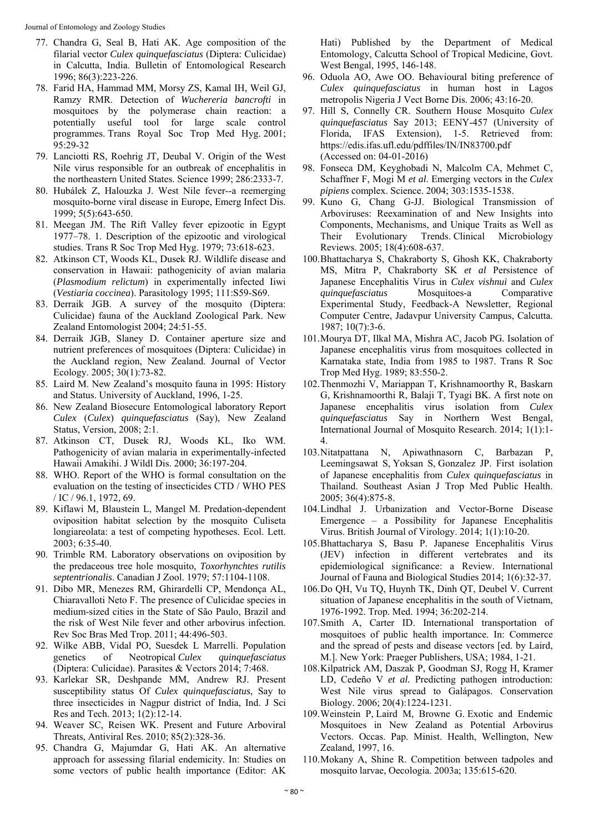Journal of Entomology and Zoology Studies

- 77. Chandra G, Seal B, Hati AK. Age composition of the filarial vector *Culex quinquefasciatus* (Diptera: Culicidae) in Calcutta, India. Bulletin of Entomological Research 1996; 86(3):223-226.
- 78. Farid HA, Hammad MM, Morsy ZS, Kamal IH, Weil GJ, Ramzy RMR. Detection of *Wuchereria bancrofti* in mosquitoes by the polymerase chain reaction: a potentially useful tool for large scale control programmes. Trans Royal Soc Trop Med Hyg. 2001; 95:29-32
- 79. Lanciotti RS, Roehrig JT, Deubal V. Origin of the West Nile virus responsible for an outbreak of encephalitis in the northeastern United States. Science 1999; 286:2333-7.
- 80. Hubálek Z, Halouzka J. West Nile fever--a reemerging mosquito-borne viral disease in Europe, Emerg Infect Dis. 1999; 5(5):643-650.
- 81. Meegan JM. The Rift Valley fever epizootic in Egypt 1977–78. 1. Description of the epizootic and virological studies. Trans R Soc Trop Med Hyg. 1979; 73:618-623.
- 82. Atkinson CT, Woods KL, Dusek RJ. Wildlife disease and conservation in Hawaii: pathogenicity of avian malaria (*Plasmodium relictum*) in experimentally infected Iiwi (*Vestiaria coccinea*). Parasitology 1995; 111:S59-S69.
- 83. Derraik JGB. A survey of the mosquito (Diptera: Culicidae) fauna of the Auckland Zoological Park. New Zealand Entomologist 2004; 24:51-55.
- 84. Derraik JGB, Slaney D. Container aperture size and nutrient preferences of mosquitoes (Diptera: Culicidae) in the Auckland region, New Zealand. Journal of Vector Ecology. 2005; 30(1):73-82.
- 85. Laird M. New Zealand's mosquito fauna in 1995: History and Status. University of Auckland, 1996, 1-25.
- 86. New Zealand Biosecure Entomological laboratory Report *Culex* (*Culex*) *quinquefasciatus* (Say), New Zealand Status, Version, 2008; 2:1.
- 87. Atkinson CT, Dusek RJ, Woods KL, Iko WM. Pathogenicity of avian malaria in experimentally-infected Hawaii Amakihi. J Wildl Dis. 2000; 36:197-204.
- 88. WHO. Report of the WHO is formal consultation on the evaluation on the testing of insecticides CTD / WHO PES / IC / 96.1, 1972, 69.
- 89. Kiflawi M, Blaustein L, Mangel M. Predation-dependent oviposition habitat selection by the mosquito Culiseta longiareolata: a test of competing hypotheses. Ecol. Lett. 2003; 6:35-40.
- 90. Trimble RM. Laboratory observations on oviposition by the predaceous tree hole mosquito, *Toxorhynchtes rutilis septentrionalis*. Canadian J Zool. 1979; 57:1104-1108.
- 91. Dibo MR, Menezes RM, Ghirardelli CP, Mendonça AL, Chiaravalloti Neto F. The presence of Culicidae species in medium-sized cities in the State of São Paulo, Brazil and the risk of West Nile fever and other arbovirus infection. Rev Soc Bras Med Trop. 2011; 44:496-503.
- 92. Wilke ABB, Vidal PO, Suesdek L Marrelli. Population genetics of Neotropical *Culex quinquefasciatus*  (Diptera: Culicidae). Parasites & Vectors 2014; 7:468.
- 93. Karlekar SR, Deshpande MM, Andrew RJ. Present susceptibility status Of *Culex quinquefasciatus*, Say to three insecticides in Nagpur district of India, Ind. J Sci Res and Tech. 2013; 1(2):12-14.
- 94. Weaver SC, Reisen WK. Present and Future Arboviral Threats, Antiviral Res. 2010; 85(2):328-36.
- 95. Chandra G, Majumdar G, Hati AK. An alternative approach for assessing filarial endemicity. In: Studies on some vectors of public health importance (Editor: AK

Hati) Published by the Department of Medical Entomology, Calcutta School of Tropical Medicine, Govt. West Bengal, 1995, 146-148.

- 96. Oduola AO, Awe OO. Behavioural biting preference of *Culex quinquefasciatus* in human host in Lagos metropolis Nigeria J Vect Borne Dis. 2006; 43:16-20.
- 97. Hill S, Connelly CR. Southern House Mosquito *Culex quinquefasciatus* Say 2013; EENY-457 (University of Florida, IFAS Extension), 1-5. Retrieved from: https://edis.ifas.ufl.edu/pdffiles/IN/IN83700.pdf (Accessed on: 04-01-2016)
- 98. Fonseca DM, Keyghobadi N, Malcolm CA, Mehmet C, Schaffner F, Mogi M *et al*. Emerging vectors in the *Culex pipiens* complex. Science. 2004; 303:1535-1538.
- 99. Kuno G, Chang G-JJ. Biological Transmission of Arboviruses: Reexamination of and New Insights into Components, Mechanisms, and Unique Traits as Well as Their Evolutionary Trends. Clinical Microbiology Reviews. 2005; 18(4):608-637.
- 100.Bhattacharya S, Chakraborty S, Ghosh KK, Chakraborty MS, Mitra P, Chakraborty SK *et al* Persistence of Japanese Encephalitis Virus in *Culex vishnui* and *Culex quinquefasciatus* Mosquitoes-a Comparative Experimental Study, Feedback-A Newsletter, Regional Computer Centre, Jadavpur University Campus, Calcutta. 1987; 10(7):3-6.
- 101.Mourya DT, Ilkal MA, Mishra AC, Jacob PG*.* Isolation of Japanese encephalitis virus from mosquitoes collected in Karnataka state, India from 1985 to 1987. Trans R Soc Trop Med Hyg. 1989; 83:550-2.
- 102.Thenmozhi V, Mariappan T, Krishnamoorthy R, Baskarn G, Krishnamoorthi R, Balaji T, Tyagi BK. A first note on Japanese encephalitis virus isolation from *Culex quinquefasciatus* Say in Northern West Bengal, International Journal of Mosquito Research. 2014; 1(1):1- 4.
- 103.Nitatpattana N, Apiwathnasorn C, Barbazan P, Leemingsawat S, Yoksan S, Gonzalez JP. First isolation of Japanese encephalitis from *Culex quinquefasciatus* in Thailand. Southeast Asian J Trop Med Public Health. 2005; 36(4):875-8.
- 104.Lindhal J. Urbanization and Vector-Borne Disease Emergence – a Possibility for Japanese Encephalitis Virus. British Journal of Virology. 2014; 1(1):10-20.
- 105.Bhattacharya S, Basu P. Japanese Encephalitis Virus (JEV) infection in different vertebrates and its epidemiological significance: a Review. International Journal of Fauna and Biological Studies 2014; 1(6):32-37.
- 106.Do QH, Vu TQ, Huynh TK, Dinh QT, Deubel V. Current situation of Japanese encephalitis in the south of Vietnam, 1976-1992. Trop. Med. 1994; 36:202-214.
- 107.Smith A, Carter ID. International transportation of mosquitoes of public health importance. In: Commerce and the spread of pests and disease vectors [ed. by Laird, M.]. New York: Praeger Publishers, USA; 1984, 1-21.
- 108.Kilpatrick AM, Daszak P, Goodman SJ, Rogg H, Kramer LD, Cedeño V *et al.* Predicting pathogen introduction: West Nile virus spread to Galápagos. Conservation Biology. 2006; 20(4):1224-1231.
- 109.Weinstein P, Laird M, Browne G. Exotic and Endemic Mosquitoes in New Zealand as Potential Arbovirus Vectors. Occas. Pap. Minist. Health, Wellington, New Zealand, 1997, 16.
- 110.Mokany A, Shine R. Competition between tadpoles and mosquito larvae, Oecologia. 2003a; 135:615-620.